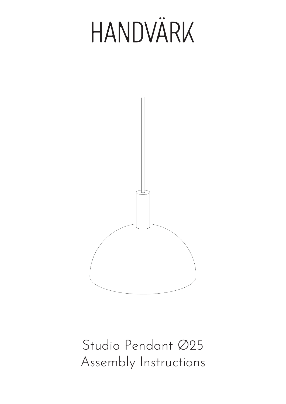

Studio Pendant Ø25 Assembly Instructions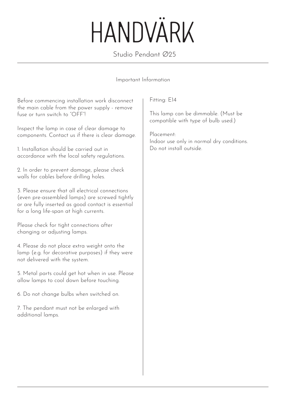Studio Pendant Ø25

#### Important Information

Before commencing installation work disconnect the main cable from the power supply - remove fuse or turn switch to "OFF"!

Inspect the lamp in case of clear damage to components. Contact us if there is clear damage.

1. Installation should be carried out in accordance with the local safety regulations.

2. In order to prevent damage, please check walls for cables before drilling holes.

3. Please ensure that all electrical connections (even pre-assembled lamps) are screwed tightly or are fully inserted as good contact is essential for a long life-span at high currents.

Please check for tight connections after changing or adjusting lamps.

4. Please do not place extra weight onto the lamp (e.g. for decorative purposes) if they were not delivered with the system.

5. Metal parts could get hot when in use. Please allow lamps to cool down before touching.

6. Do not change bulbs when switched on.

7. The pendant must not be enlarged with additional lamps.

Fitting: E14

This lamp can be dimmable. (Must be compatible with type of bulb used.)

Placement: Indoor use only in normal dry conditions. Do not install outside.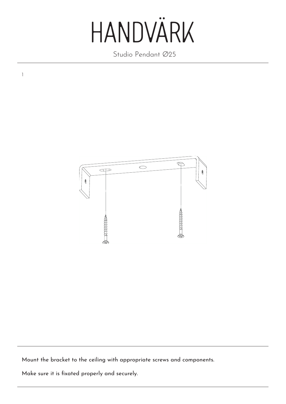Studio Pendant Ø25



Mount the bracket to the ceiling with appropriate screws and components.

Make sure it is fixated properly and securely.

1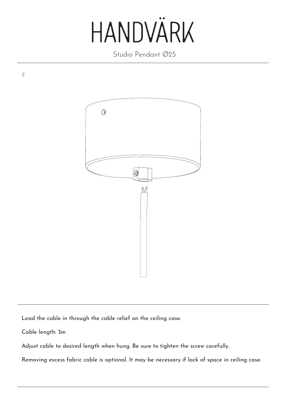Studio Pendant Ø25



Lead the cable in through the cable relief on the ceiling case.

Cable length: 3m

2

Adjust cable to desired length when hung. Be sure to tighten the screw carefully.

Removing excess fabric cable is optional. It may be necessary if lack of space in ceiling case.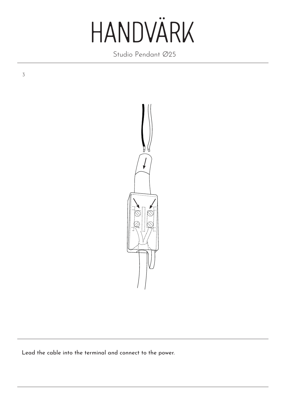Studio Pendant Ø25

3



Lead the cable into the terminal and connect to the power.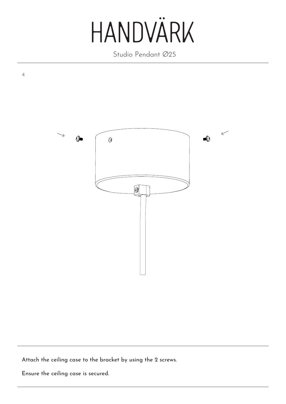Studio Pendant Ø25



Attach the ceiling case to the bracket by using the 2 screws.

Ensure the ceiling case is secured.

4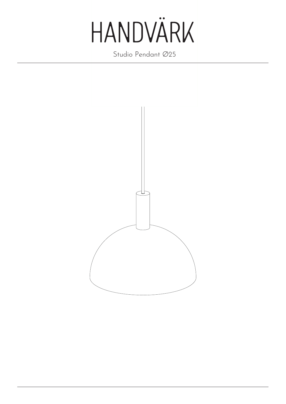

Studio Pendant Ø25